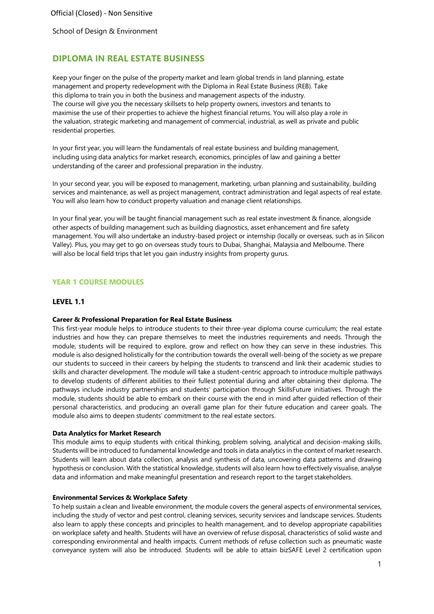# **DIPLOMA IN REAL ESTATE BUSINESS**

Keep your finger on the pulse of the property market and learn global trends in land planning, estate management and property redevelopment with the Diploma in Real Estate Business (REB). Take this diploma to train you in both the business and management aspects of the industry. The course will give you the necessary skillsets to help property owners, investors and tenants to maximise the use of their properties to achieve the highest financial returns. You will also play a role in the valuation, strategic marketing and management of commercial, industrial, as well as private and public residential properties.

In your first year, you will learn the fundamentals of real estate business and building management, including using data analytics for market research, economics, principles of law and gaining a better understanding of the career and professional preparation in the industry.

In your second year, you will be exposed to management, marketing, urban planning and sustainability, building services and maintenance, as well as project management, contract administration and legal aspects of real estate. You will also learn how to conduct property valuation and manage client relationships.

In your final year, you will be taught financial management such as real estate investment & finance, alongside other aspects of building management such as building diagnostics, asset enhancement and fire safety management. You will also undertake an industry-based project or internship (locally or overseas, such as in Silicon Valley). Plus, you may get to go on overseas study tours to Dubai, Shanghai, Malaysia and Melbourne. There will also be local field trips that let you gain industry insights from property gurus.

# **YEAR 1 COURSE MODULES**

### **LEVEL 1.1**

### **Career & Professional Preparation for Real Estate Business**

This first-year module helps to introduce students to their three-year diploma course curriculum; the real estate industries and how they can prepare themselves to meet the industries requirements and needs. Through the module, students will be required to explore, grow and reflect on how they can serve in these industries. This module is also designed holistically for the contribution towards the overall well-being of the society as we prepare our students to succeed in their careers by helping the students to transcend and link their academic studies to skills and character development. The module will take a student-centric approach to introduce multiple pathways to develop students of different abilities to their fullest potential during and after obtaining their diploma. The pathways include industry partnerships and students' participation through SkillsFuture initiatives. Through the module, students should be able to embark on their course with the end in mind after guided reflection of their personal characteristics, and producing an overall game plan for their future education and career goals. The module also aims to deepen students' commitment to the real estate sectors.

#### **Data Analytics for Market Research**

This module aims to equip students with critical thinking, problem solving, analytical and decision-making skills. Students will be introduced to fundamental knowledge and tools in data analytics in the context of market research. Students will learn about data collection, analysis and synthesis of data, uncovering data patterns and drawing hypothesis or conclusion. With the statistical knowledge, students will also learn how to effectively visualise, analyse data and information and make meaningful presentation and research report to the target stakeholders.

### **Environmental Services & Workplace Safety**

To help sustain a clean and liveable environment, the module covers the general aspects of environmental services, including the study of vector and pest control, cleaning services, security services and landscape services. Students also learn to apply these concepts and principles to health management, and to develop appropriate capabilities on workplace safety and health. Students will have an overview of refuse disposal, characteristics of solid waste and corresponding environmental and health impacts. Current methods of refuse collection such as pneumatic waste conveyance system will also be introduced. Students will be able to attain bizSAFE Level 2 certification upon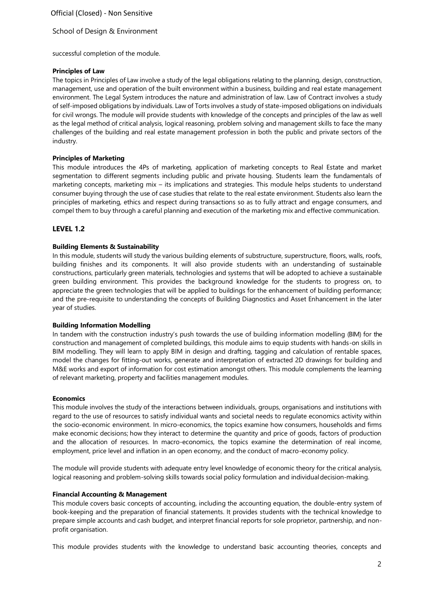Official (Closed) - Non Sensitive

### School of Design & Environment

successful completion of the module.

### **Principles of Law**

The topics in Principles of Law involve a study of the legal obligations relating to the planning, design, construction, management, use and operation of the built environment within a business, building and real estate management environment. The Legal System introduces the nature and administration of law. Law of Contract involves a study of self-imposed obligations by individuals. Law of Torts involves a study of state-imposed obligations on individuals for civil wrongs. The module will provide students with knowledge of the concepts and principles of the law as well as the legal method of critical analysis, logical reasoning, problem solving and management skills to face the many challenges of the building and real estate management profession in both the public and private sectors of the industry.

### **Principles of Marketing**

This module introduces the 4Ps of marketing, application of marketing concepts to Real Estate and market segmentation to different segments including public and private housing. Students learn the fundamentals of marketing concepts, marketing mix – its implications and strategies. This module helps students to understand consumer buying through the use of case studies that relate to the real estate environment. Students also learn the principles of marketing, ethics and respect during transactions so as to fully attract and engage consumers, and compel them to buy through a careful planning and execution of the marketing mix and effective communication.

### **LEVEL 1.2**

### **Building Elements & Sustainability**

In this module, students will study the various building elements of substructure, superstructure, floors, walls, roofs, building finishes and its components. It will also provide students with an understanding of sustainable constructions, particularly green materials, technologies and systems that will be adopted to achieve a sustainable green building environment. This provides the background knowledge for the students to progress on, to appreciate the green technologies that will be applied to buildings for the enhancement of building performance; and the pre-requisite to understanding the concepts of Building Diagnostics and Asset Enhancement in the later year of studies.

### **Building Information Modelling**

In tandem with the construction industry's push towards the use of building information modelling (BIM) for the construction and management of completed buildings, this module aims to equip students with hands-on skills in BIM modelling. They will learn to apply BIM in design and drafting, tagging and calculation of rentable spaces, model the changes for fitting-out works, generate and interpretation of extracted 2D drawings for building and M&E works and export of information for cost estimation amongst others. This module complements the learning of relevant marketing, property and facilities management modules.

#### **Economics**

This module involves the study of the interactions between individuals, groups, organisations and institutions with regard to the use of resources to satisfy individual wants and societal needs to regulate economics activity within the socio-economic environment. In micro-economics, the topics examine how consumers, households and firms make economic decisions; how they interact to determine the quantity and price of goods, factors of production and the allocation of resources. In macro-economics, the topics examine the determination of real income, employment, price level and inflation in an open economy, and the conduct of macro-economy policy.

The module will provide students with adequate entry level knowledge of economic theory for the critical analysis, logical reasoning and problem-solving skills towards social policy formulation and individualdecision-making.

#### **Financial Accounting & Management**

This module covers basic concepts of accounting, including the accounting equation, the double-entry system of book-keeping and the preparation of financial statements. It provides students with the technical knowledge to prepare simple accounts and cash budget, and interpret financial reports for sole proprietor, partnership, and nonprofit organisation.

This module provides students with the knowledge to understand basic accounting theories, concepts and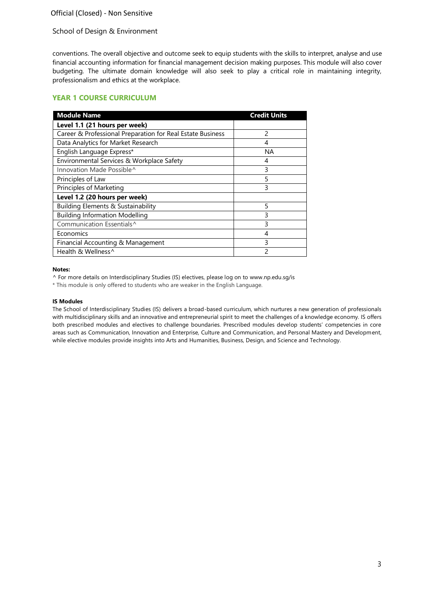# Official (Closed) - Non Sensitive

### School of Design & Environment

conventions. The overall objective and outcome seek to equip students with the skills to interpret, analyse and use financial accounting information for financial management decision making purposes. This module will also cover budgeting. The ultimate domain knowledge will also seek to play a critical role in maintaining integrity, professionalism and ethics at the workplace.

### **YEAR 1 COURSE CURRICULUM**

| <b>Module Name</b>                                         | <b>Credit Units</b> |
|------------------------------------------------------------|---------------------|
| Level 1.1 (21 hours per week)                              |                     |
| Career & Professional Preparation for Real Estate Business | $\mathcal{P}$       |
| Data Analytics for Market Research                         | 4                   |
| English Language Express*                                  | ΝA                  |
| Environmental Services & Workplace Safety                  | 4                   |
| Innovation Made Possible^                                  | 3                   |
| Principles of Law                                          | 5                   |
| Principles of Marketing                                    | 3                   |
| Level 1.2 (20 hours per week)                              |                     |
| Building Elements & Sustainability                         | 5                   |
| <b>Building Information Modelling</b>                      | 3                   |
| Communication Essentials^                                  | 3                   |
| Economics                                                  | 4                   |
| Financial Accounting & Management                          | 3                   |
| Health & Wellness^                                         | 2                   |

#### **Notes:**

^ For more details on Interdisciplinary Studies (IS) electives, please log on to [www.np.edu.sg/is](http://www.np.edu.sg/is/)

\* This module is only offered to students who are weaker in the English Language.

### **IS Modules**

The School of Interdisciplinary Studies (IS) delivers a broad-based curriculum, which nurtures a new generation of professionals with multidisciplinary skills and an innovative and entrepreneurial spirit to meet the challenges of a knowledge economy. IS offers both prescribed modules and electives to challenge boundaries. Prescribed modules develop students' competencies in core areas such as Communication, Innovation and Enterprise, Culture and Communication, and Personal Mastery and Development, while elective modules provide insights into Arts and Humanities, Business, Design, and Science and Technology.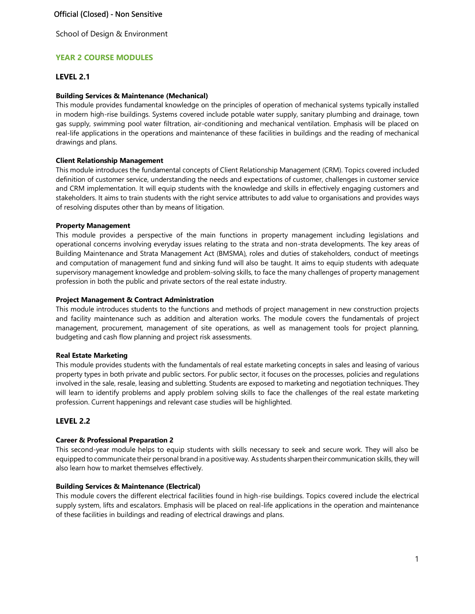# **YEAR 2 COURSE MODULES**

# **LEVEL 2.1**

### **Building Services & Maintenance (Mechanical)**

This module provides fundamental knowledge on the principles of operation of mechanical systems typically installed in modern high-rise buildings. Systems covered include potable water supply, sanitary plumbing and drainage, town gas supply, swimming pool water filtration, air-conditioning and mechanical ventilation. Emphasis will be placed on real-life applications in the operations and maintenance of these facilities in buildings and the reading of mechanical drawings and plans.

#### **Client Relationship Management**

This module introduces the fundamental concepts of Client Relationship Management (CRM). Topics covered included definition of customer service, understanding the needs and expectations of customer, challenges in customer service and CRM implementation. It will equip students with the knowledge and skills in effectively engaging customers and stakeholders. It aims to train students with the right service attributes to add value to organisations and provides ways of resolving disputes other than by means of litigation.

#### **Property Management**

This module provides a perspective of the main functions in property management including legislations and operational concerns involving everyday issues relating to the strata and non-strata developments. The key areas of Building Maintenance and Strata Management Act (BMSMA), roles and duties of stakeholders, conduct of meetings and computation of management fund and sinking fund will also be taught. It aims to equip students with adequate supervisory management knowledge and problem-solving skills, to face the many challenges of property management profession in both the public and private sectors of the real estate industry.

### **Project Management & Contract Administration**

This module introduces students to the functions and methods of project management in new construction projects and facility maintenance such as addition and alteration works. The module covers the fundamentals of project management, procurement, management of site operations, as well as management tools for project planning, budgeting and cash flow planning and project risk assessments.

#### **Real Estate Marketing**

This module provides students with the fundamentals of real estate marketing concepts in sales and leasing of various property types in both private and public sectors. For public sector, it focuses on the processes, policies and regulations involved in the sale, resale, leasing and subletting. Students are exposed to marketing and negotiation techniques. They will learn to identify problems and apply problem solving skills to face the challenges of the real estate marketing profession. Current happenings and relevant case studies will be highlighted.

### **LEVEL 2.2**

### **Career & Professional Preparation 2**

This second-year module helps to equip students with skills necessary to seek and secure work. They will also be equipped to communicate their personal brand in a positive way. As students sharpen their communication skills, they will also learn how to market themselves effectively.

#### **Building Services & Maintenance (Electrical)**

This module covers the different electrical facilities found in high-rise buildings. Topics covered include the electrical supply system, lifts and escalators. Emphasis will be placed on real-life applications in the operation and maintenance of these facilities in buildings and reading of electrical drawings and plans.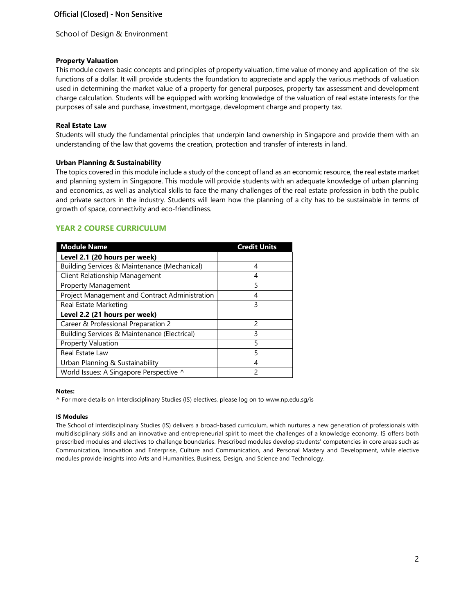### **Property Valuation**

This module covers basic concepts and principles of property valuation, time value of money and application of the six functions of a dollar. It will provide students the foundation to appreciate and apply the various methods of valuation used in determining the market value of a property for general purposes, property tax assessment and development charge calculation. Students will be equipped with working knowledge of the valuation of real estate interests for the purposes of sale and purchase, investment, mortgage, development charge and property tax.

### **Real Estate Law**

Students will study the fundamental principles that underpin land ownership in Singapore and provide them with an understanding of the law that governs the creation, protection and transfer of interests in land.

### **Urban Planning & Sustainability**

The topics covered in this module include a study of the concept of land as an economic resource, the real estate market and planning system in Singapore. This module will provide students with an adequate knowledge of urban planning and economics, as well as analytical skills to face the many challenges of the real estate profession in both the public and private sectors in the industry. Students will learn how the planning of a city has to be sustainable in terms of growth of space, connectivity and eco-friendliness.

# **YEAR 2 COURSE CURRICULUM**

| <b>Module Name</b>                             | <b>Credit Units</b> |
|------------------------------------------------|---------------------|
| Level 2.1 (20 hours per week)                  |                     |
| Building Services & Maintenance (Mechanical)   | 4                   |
| Client Relationship Management                 | 4                   |
| <b>Property Management</b>                     | 5                   |
| Project Management and Contract Administration | 4                   |
| Real Estate Marketing                          | 3                   |
| Level 2.2 (21 hours per week)                  |                     |
| Career & Professional Preparation 2            | 2                   |
| Building Services & Maintenance (Electrical)   | 3                   |
| <b>Property Valuation</b>                      | 5                   |
| Real Estate Law                                | 5                   |
| Urban Planning & Sustainability                | 4                   |
| World Issues: A Singapore Perspective ^        | 2                   |

#### **Notes:**

^ For more details on Interdisciplinary Studies (IS) electives, please log on to [www.np.edu.sg/is](http://www.np.edu.sg/is/)

#### **IS Modules**

The School of Interdisciplinary Studies (IS) delivers a broad-based curriculum, which nurtures a new generation of professionals with multidisciplinary skills and an innovative and entrepreneurial spirit to meet the challenges of a knowledge economy. IS offers both prescribed modules and electives to challenge boundaries. Prescribed modules develop students' competencies in core areas such as Communication, Innovation and Enterprise, Culture and Communication, and Personal Mastery and Development, while elective modules provide insights into Arts and Humanities, Business, Design, and Science and Technology.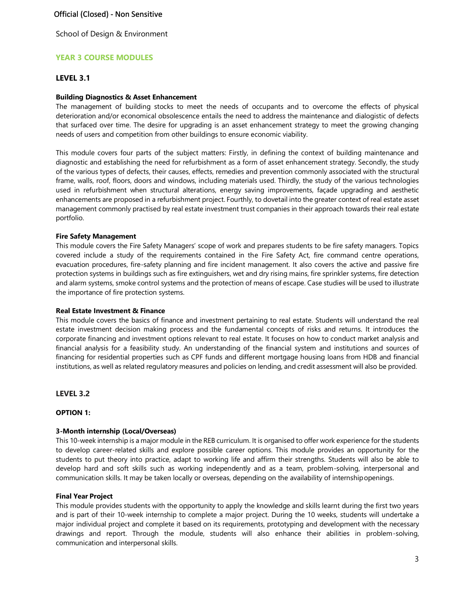### Official (Closed) - Non Sensitive

School of Design & Environment

# **YEAR 3 COURSE MODULES**

### **LEVEL 3.1**

#### **Building Diagnostics & Asset Enhancement**

The management of building stocks to meet the needs of occupants and to overcome the effects of physical deterioration and/or economical obsolescence entails the need to address the maintenance and dialogistic of defects that surfaced over time. The desire for upgrading is an asset enhancement strategy to meet the growing changing needs of users and competition from other buildings to ensure economic viability.

This module covers four parts of the subject matters: Firstly, in defining the context of building maintenance and diagnostic and establishing the need for refurbishment as a form of asset enhancement strategy. Secondly, the study of the various types of defects, their causes, effects, remedies and prevention commonly associated with the structural frame, walls, roof, floors, doors and windows, including materials used. Thirdly, the study of the various technologies used in refurbishment when structural alterations, energy saving improvements, façade upgrading and aesthetic enhancements are proposed in a refurbishment project. Fourthly, to dovetail into the greater context of real estate asset management commonly practised by real estate investment trust companies in their approach towards their real estate portfolio.

#### **Fire Safety Management**

This module covers the Fire Safety Managers' scope of work and prepares students to be fire safety managers. Topics covered include a study of the requirements contained in the Fire Safety Act, fire command centre operations, evacuation procedures, fire-safety planning and fire incident management. It also covers the active and passive fire protection systems in buildings such as fire extinguishers, wet and dry rising mains, fire sprinkler systems, fire detection and alarm systems, smoke control systems and the protection of means of escape. Case studies will be used to illustrate the importance of fire protection systems.

#### **Real Estate Investment & Finance**

This module covers the basics of finance and investment pertaining to real estate. Students will understand the real estate investment decision making process and the fundamental concepts of risks and returns. It introduces the corporate financing and investment options relevant to real estate. It focuses on how to conduct market analysis and financial analysis for a feasibility study. An understanding of the financial system and institutions and sources of financing for residential properties such as CPF funds and different mortgage housing loans from HDB and financial institutions, as well as related regulatory measures and policies on lending, and credit assessment will also be provided.

#### **LEVEL 3.2**

#### **OPTION 1:**

#### **3-Month internship (Local/Overseas)**

This 10-week internship is a major module in the REB curriculum. It is organised to offer work experience for the students to develop career-related skills and explore possible career options. This module provides an opportunity for the students to put theory into practice, adapt to working life and affirm their strengths. Students will also be able to develop hard and soft skills such as working independently and as a team, problem-solving, interpersonal and communication skills. It may be taken locally or overseas, depending on the availability of internshipopenings.

#### **Final Year Project**

This module provides students with the opportunity to apply the knowledge and skills learnt during the first two years and is part of their 10-week internship to complete a major project. During the 10 weeks, students will undertake a major individual project and complete it based on its requirements, prototyping and development with the necessary drawings and report. Through the module, students will also enhance their abilities in problem-solving, communication and interpersonal skills.